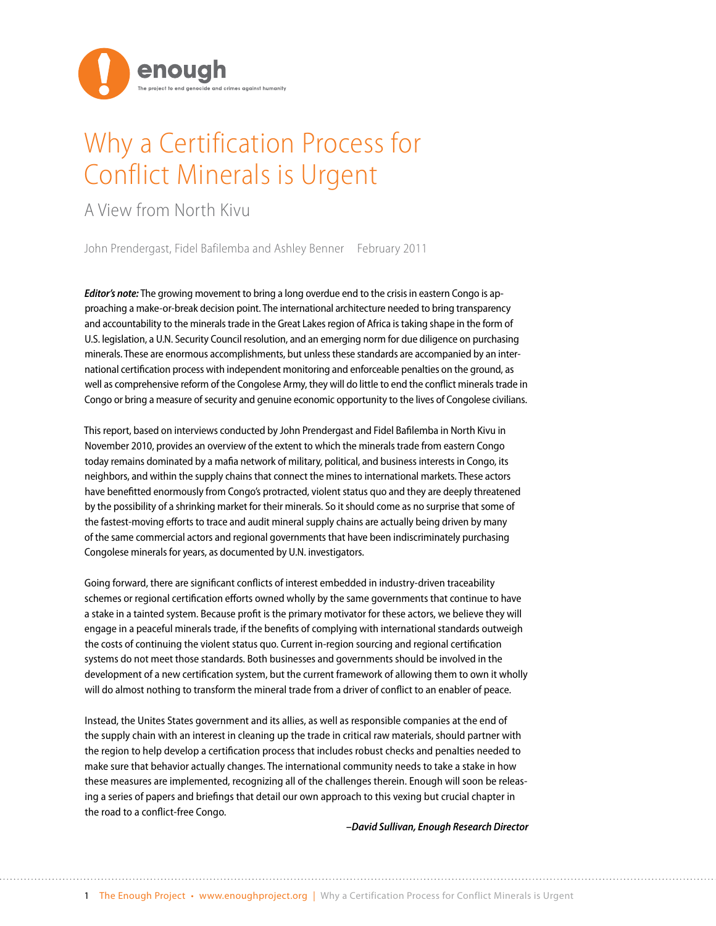

# Why a Certification Process for Conflict Minerals is Urgent

### A View from North Kivu

John Prendergast, Fidel Bafilemba and Ashley Benner February 2011

*Editor's note:* The growing movement to bring a long overdue end to the crisis in eastern Congo is approaching a make-or-break decision point. The international architecture needed to bring transparency and accountability to the minerals trade in the Great Lakes region of Africa is taking shape in the form of U.S. legislation, a U.N. Security Council resolution, and an emerging norm for due diligence on purchasing minerals. These are enormous accomplishments, but unless these standards are accompanied by an international certification process with independent monitoring and enforceable penalties on the ground, as well as comprehensive reform of the Congolese Army, they will do little to end the conflict minerals trade in Congo or bring a measure of security and genuine economic opportunity to the lives of Congolese civilians.

This report, based on interviews conducted by John Prendergast and Fidel Bafilemba in North Kivu in November 2010, provides an overview of the extent to which the minerals trade from eastern Congo today remains dominated by a mafia network of military, political, and business interests in Congo, its neighbors, and within the supply chains that connect the mines to international markets. These actors have benefitted enormously from Congo's protracted, violent status quo and they are deeply threatened by the possibility of a shrinking market for their minerals. So it should come as no surprise that some of the fastest-moving efforts to trace and audit mineral supply chains are actually being driven by many of the same commercial actors and regional governments that have been indiscriminately purchasing Congolese minerals for years, as documented by U.N. investigators.

Going forward, there are significant conflicts of interest embedded in industry-driven traceability schemes or regional certification efforts owned wholly by the same governments that continue to have a stake in a tainted system. Because profit is the primary motivator for these actors, we believe they will engage in a peaceful minerals trade, if the benefits of complying with international standards outweigh the costs of continuing the violent status quo. Current in-region sourcing and regional certification systems do not meet those standards. Both businesses and governments should be involved in the development of a new certification system, but the current framework of allowing them to own it wholly will do almost nothing to transform the mineral trade from a driver of conflict to an enabler of peace.

Instead, the Unites States government and its allies, as well as responsible companies at the end of the supply chain with an interest in cleaning up the trade in critical raw materials, should partner with the region to help develop a certification process that includes robust checks and penalties needed to make sure that behavior actually changes. The international community needs to take a stake in how these measures are implemented, recognizing all of the challenges therein. Enough will soon be releasing a series of papers and briefings that detail our own approach to this vexing but crucial chapter in the road to a conflict-free Congo.

*–David Sullivan, Enough Research Director*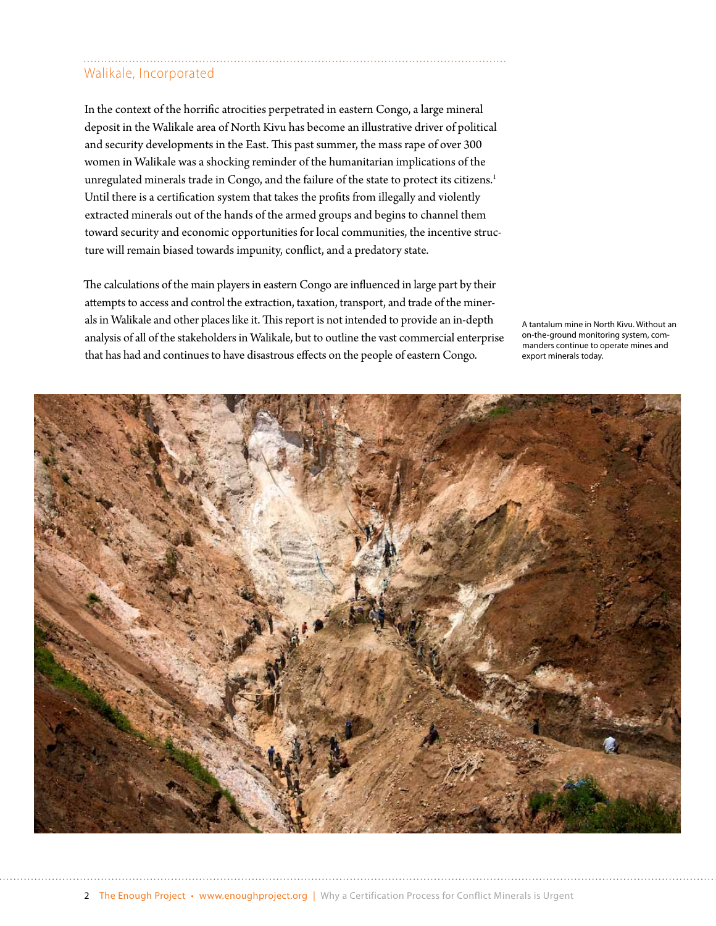## Walikale, Incorporated

In the context of the horrific atrocities perpetrated in eastern Congo, a large mineral deposit in the Walikale area of North Kivu has become an illustrative driver of political and security developments in the East. This past summer, the mass rape of over 300 women in Walikale was a shocking reminder of the humanitarian implications of the unregulated minerals trade in Congo, and the failure of the state to protect its citizens.<sup>1</sup> Until there is a certification system that takes the profits from illegally and violently extracted minerals out of the hands of the armed groups and begins to channel them toward security and economic opportunities for local communities, the incentive structure will remain biased towards impunity, conflict, and a predatory state.

The calculations of the main players in eastern Congo are influenced in large part by their attempts to access and control the extraction, taxation, transport, and trade of the minerals in Walikale and other places like it. This report is not intended to provide an in-depth analysis of all of the stakeholders in Walikale, but to outline the vast commercial enterprise that has had and continues to have disastrous effects on the people of eastern Congo.

A tantalum mine in North Kivu. Without an on-the-ground monitoring system, commanders continue to operate mines and export minerals today.

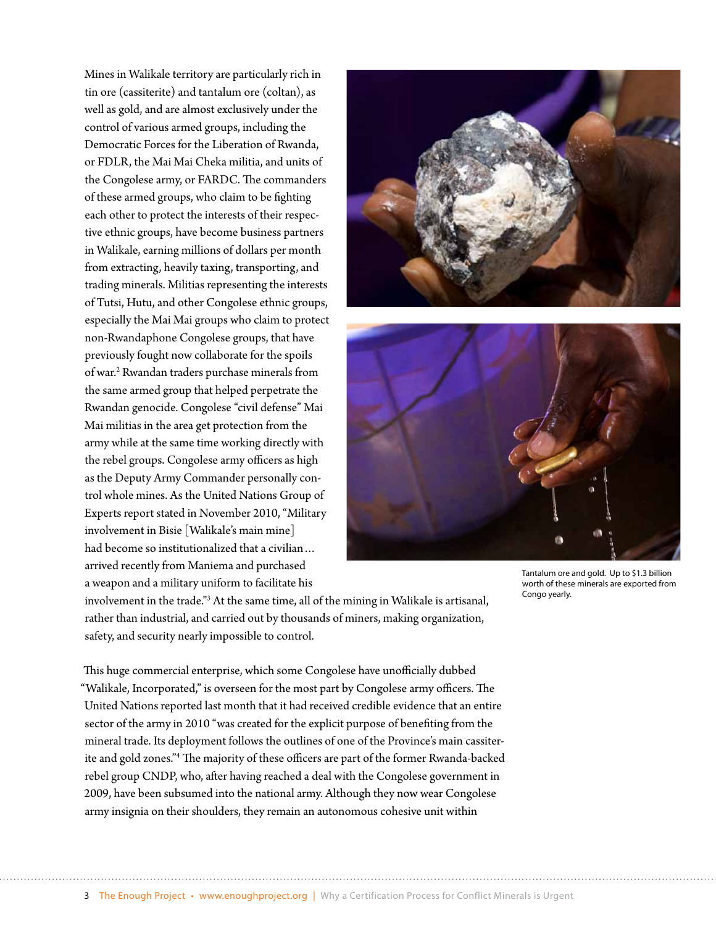Mines in Walikale territory are particularly rich in tin ore (cassiterite) and tantalum ore (coltan), as well as gold, and are almost exclusively under the control of various armed groups, including the Democratic Forces for the Liberation of Rwanda, or FDLR, the Mai Mai Cheka militia, and units of the Congolese army, or FARDC. The commanders of these armed groups, who claim to be fighting each other to protect the interests of their respective ethnic groups, have become business partners in Walikale, earning millions of dollars per month from extracting, heavily taxing, transporting, and trading minerals. Militias representing the interests of Tutsi, Hutu, and other Congolese ethnic groups, especially the Mai Mai groups who claim to protect non-Rwandaphone Congolese groups, that have previously fought now collaborate for the spoils of war.<sup>2</sup> Rwandan traders purchase minerals from the same armed group that helped perpetrate the Rwandan genocide. Congolese "civil defense" Mai Mai militias in the area get protection from the army while at the same time working directly with the rebel groups. Congolese army officers as high as the Deputy Army Commander personally control whole mines. As the United Nations Group of Experts report stated in November 2010, "Military involvement in Bisie [Walikale's main mine] had become so institutionalized that a civilian… arrived recently from Maniema and purchased a weapon and a military uniform to facilitate his





Tantalum ore and gold. Up to \$1.3 billion worth of these minerals are exported from Congo yearly.

involvement in the trade."3 At the same time, all of the mining in Walikale is artisanal, rather than industrial, and carried out by thousands of miners, making organization, safety, and security nearly impossible to control.

This huge commercial enterprise, which some Congolese have unofficially dubbed "Walikale, Incorporated," is overseen for the most part by Congolese army officers. The United Nations reported last month that it had received credible evidence that an entire sector of the army in 2010 "was created for the explicit purpose of benefiting from the mineral trade. Its deployment follows the outlines of one of the Province's main cassiterite and gold zones."4 The majority of these officers are part of the former Rwanda-backed rebel group CNDP, who, after having reached a deal with the Congolese government in 2009, have been subsumed into the national army. Although they now wear Congolese army insignia on their shoulders, they remain an autonomous cohesive unit within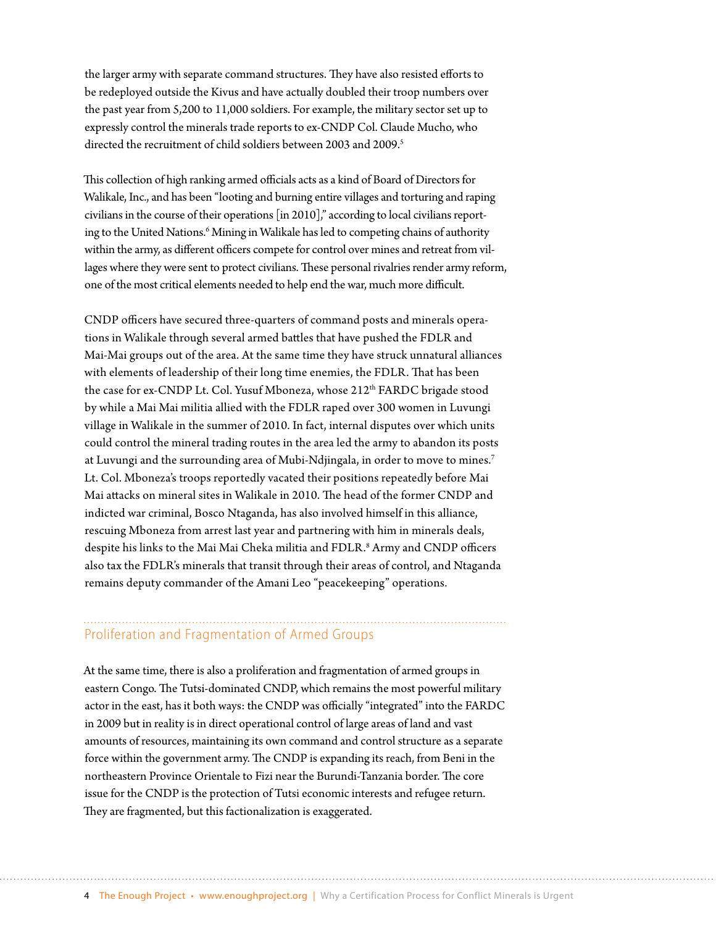the larger army with separate command structures. They have also resisted efforts to be redeployed outside the Kivus and have actually doubled their troop numbers over the past year from 5,200 to 11,000 soldiers. For example, the military sector set up to expressly control the minerals trade reports to ex-CNDP Col. Claude Mucho, who directed the recruitment of child soldiers between 2003 and 2009.<sup>5</sup>

This collection of high ranking armed officials acts as a kind of Board of Directors for Walikale, Inc., and has been "looting and burning entire villages and torturing and raping civilians in the course of their operations [in 2010]," according to local civilians reporting to the United Nations.<sup>6</sup> Mining in Walikale has led to competing chains of authority within the army, as different officers compete for control over mines and retreat from villages where they were sent to protect civilians. These personal rivalries render army reform, one of the most critical elements needed to help end the war, much more difficult.

CNDP officers have secured three-quarters of command posts and minerals operations in Walikale through several armed battles that have pushed the FDLR and Mai-Mai groups out of the area. At the same time they have struck unnatural alliances with elements of leadership of their long time enemies, the FDLR. That has been the case for ex-CNDP Lt. Col. Yusuf Mboneza, whose 212<sup>th</sup> FARDC brigade stood by while a Mai Mai militia allied with the FDLR raped over 300 women in Luvungi village in Walikale in the summer of 2010. In fact, internal disputes over which units could control the mineral trading routes in the area led the army to abandon its posts at Luvungi and the surrounding area of Mubi-Ndjingala, in order to move to mines.<sup>7</sup> Lt. Col. Mboneza's troops reportedly vacated their positions repeatedly before Mai Mai attacks on mineral sites in Walikale in 2010. The head of the former CNDP and indicted war criminal, Bosco Ntaganda, has also involved himself in this alliance, rescuing Mboneza from arrest last year and partnering with him in minerals deals, despite his links to the Mai Mai Cheka militia and FDLR.<sup>8</sup> Army and CNDP officers also tax the FDLR's minerals that transit through their areas of control, and Ntaganda remains deputy commander of the Amani Leo "peacekeeping" operations.

#### Proliferation and Fragmentation of Armed Groups

At the same time, there is also a proliferation and fragmentation of armed groups in eastern Congo. The Tutsi-dominated CNDP, which remains the most powerful military actor in the east, has it both ways: the CNDP was officially "integrated" into the FARDC in 2009 but in reality is in direct operational control of large areas of land and vast amounts of resources, maintaining its own command and control structure as a separate force within the government army. The CNDP is expanding its reach, from Beni in the northeastern Province Orientale to Fizi near the Burundi-Tanzania border. The core issue for the CNDP is the protection of Tutsi economic interests and refugee return. They are fragmented, but this factionalization is exaggerated.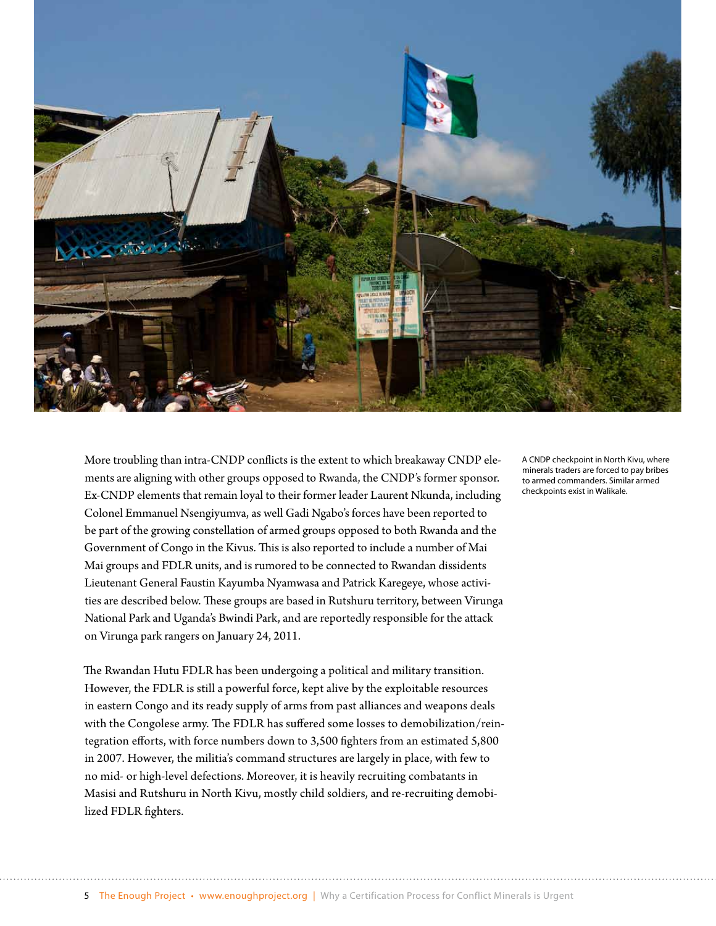

More troubling than intra-CNDP conflicts is the extent to which breakaway CNDP elements are aligning with other groups opposed to Rwanda, the CNDP's former sponsor. Ex-CNDP elements that remain loyal to their former leader Laurent Nkunda, including Colonel Emmanuel Nsengiyumva, as well Gadi Ngabo's forces have been reported to be part of the growing constellation of armed groups opposed to both Rwanda and the Government of Congo in the Kivus. This is also reported to include a number of Mai Mai groups and FDLR units, and is rumored to be connected to Rwandan dissidents Lieutenant General Faustin Kayumba Nyamwasa and Patrick Karegeye, whose activities are described below. These groups are based in Rutshuru territory, between Virunga National Park and Uganda's Bwindi Park, and are reportedly responsible for the attack on Virunga park rangers on January 24, 2011.

The Rwandan Hutu FDLR has been undergoing a political and military transition. However, the FDLR is still a powerful force, kept alive by the exploitable resources in eastern Congo and its ready supply of arms from past alliances and weapons deals with the Congolese army. The FDLR has suffered some losses to demobilization/reintegration efforts, with force numbers down to 3,500 fighters from an estimated 5,800 in 2007. However, the militia's command structures are largely in place, with few to no mid- or high-level defections. Moreover, it is heavily recruiting combatants in Masisi and Rutshuru in North Kivu, mostly child soldiers, and re-recruiting demobilized FDLR fighters.

A CNDP checkpoint in North Kivu, where minerals traders are forced to pay bribes to armed commanders. Similar armed checkpoints exist in Walikale.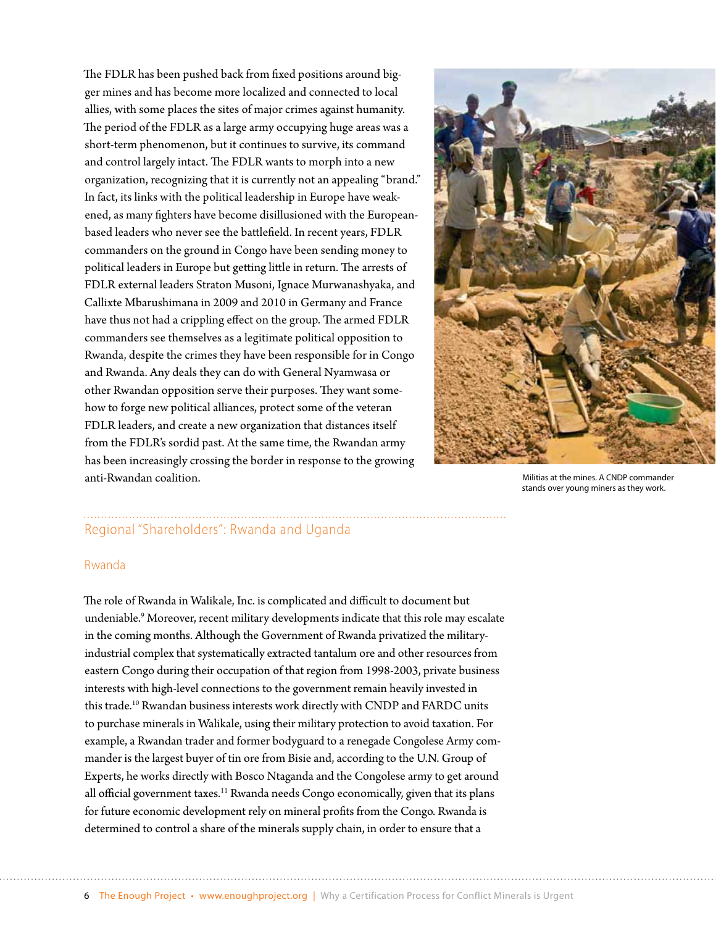The FDLR has been pushed back from fixed positions around bigger mines and has become more localized and connected to local allies, with some places the sites of major crimes against humanity. The period of the FDLR as a large army occupying huge areas was a short-term phenomenon, but it continues to survive, its command and control largely intact. The FDLR wants to morph into a new organization, recognizing that it is currently not an appealing "brand." In fact, its links with the political leadership in Europe have weakened, as many fighters have become disillusioned with the Europeanbased leaders who never see the battlefield. In recent years, FDLR commanders on the ground in Congo have been sending money to political leaders in Europe but getting little in return. The arrests of FDLR external leaders Straton Musoni, Ignace Murwanashyaka, and Callixte Mbarushimana in 2009 and 2010 in Germany and France have thus not had a crippling effect on the group. The armed FDLR commanders see themselves as a legitimate political opposition to Rwanda, despite the crimes they have been responsible for in Congo and Rwanda. Any deals they can do with General Nyamwasa or other Rwandan opposition serve their purposes. They want somehow to forge new political alliances, protect some of the veteran FDLR leaders, and create a new organization that distances itself from the FDLR's sordid past. At the same time, the Rwandan army has been increasingly crossing the border in response to the growing anti-Rwandan coalition.



Militias at the mines. A CNDP commander stands over young miners as they work.

### Regional "Shareholders": Rwanda and Uganda

#### Rwanda

The role of Rwanda in Walikale, Inc. is complicated and difficult to document but undeniable.9 Moreover, recent military developments indicate that this role may escalate in the coming months. Although the Government of Rwanda privatized the militaryindustrial complex that systematically extracted tantalum ore and other resources from eastern Congo during their occupation of that region from 1998-2003, private business interests with high-level connections to the government remain heavily invested in this trade.<sup>10</sup> Rwandan business interests work directly with CNDP and FARDC units to purchase minerals in Walikale, using their military protection to avoid taxation. For example, a Rwandan trader and former bodyguard to a renegade Congolese Army commander is the largest buyer of tin ore from Bisie and, according to the U.N. Group of Experts, he works directly with Bosco Ntaganda and the Congolese army to get around all official government taxes.<sup>11</sup> Rwanda needs Congo economically, given that its plans for future economic development rely on mineral profits from the Congo. Rwanda is determined to control a share of the minerals supply chain, in order to ensure that a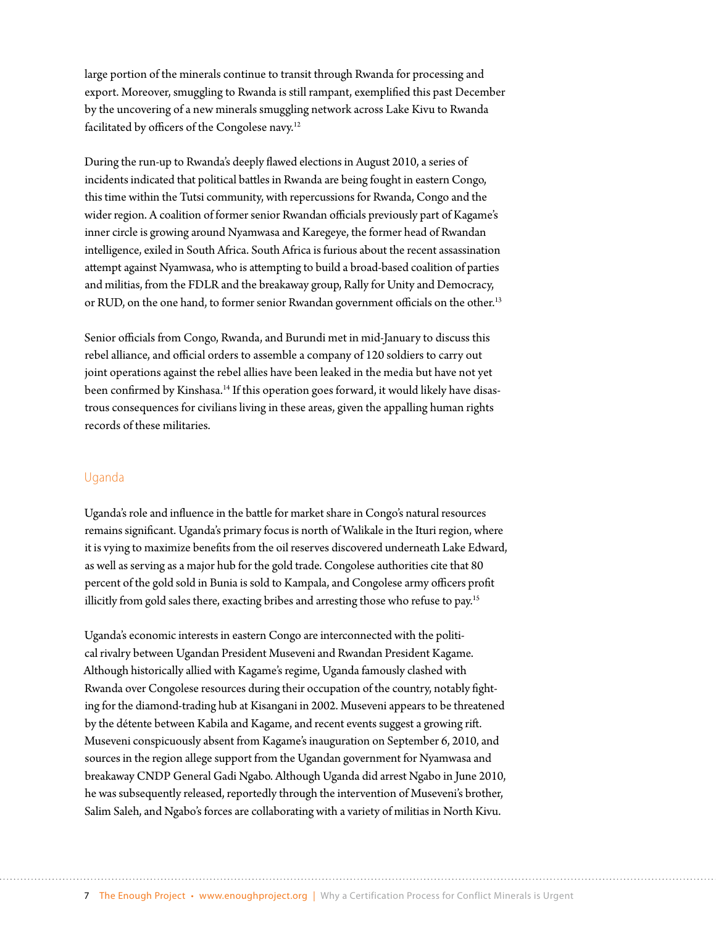large portion of the minerals continue to transit through Rwanda for processing and export. Moreover, smuggling to Rwanda is still rampant, exemplified this past December by the uncovering of a new minerals smuggling network across Lake Kivu to Rwanda facilitated by officers of the Congolese navy.12

During the run-up to Rwanda's deeply flawed elections in August 2010, a series of incidents indicated that political battles in Rwanda are being fought in eastern Congo, this time within the Tutsi community, with repercussions for Rwanda, Congo and the wider region. A coalition of former senior Rwandan officials previously part of Kagame's inner circle is growing around Nyamwasa and Karegeye, the former head of Rwandan intelligence, exiled in South Africa. South Africa is furious about the recent assassination attempt against Nyamwasa, who is attempting to build a broad-based coalition of parties and militias, from the FDLR and the breakaway group, Rally for Unity and Democracy, or RUD, on the one hand, to former senior Rwandan government officials on the other.<sup>13</sup>

Senior officials from Congo, Rwanda, and Burundi met in mid-January to discuss this rebel alliance, and official orders to assemble a company of 120 soldiers to carry out joint operations against the rebel allies have been leaked in the media but have not yet been confirmed by Kinshasa.<sup>14</sup> If this operation goes forward, it would likely have disastrous consequences for civilians living in these areas, given the appalling human rights records of these militaries.

#### Uganda

Uganda's role and influence in the battle for market share in Congo's natural resources remains significant. Uganda's primary focus is north of Walikale in the Ituri region, where it is vying to maximize benefits from the oil reserves discovered underneath Lake Edward, as well as serving as a major hub for the gold trade. Congolese authorities cite that 80 percent of the gold sold in Bunia is sold to Kampala, and Congolese army officers profit illicitly from gold sales there, exacting bribes and arresting those who refuse to pay.<sup>15</sup>

Uganda's economic interests in eastern Congo are interconnected with the political rivalry between Ugandan President Museveni and Rwandan President Kagame. Although historically allied with Kagame's regime, Uganda famously clashed with Rwanda over Congolese resources during their occupation of the country, notably fighting for the diamond-trading hub at Kisangani in 2002. Museveni appears to be threatened by the détente between Kabila and Kagame, and recent events suggest a growing rift. Museveni conspicuously absent from Kagame's inauguration on September 6, 2010, and sources in the region allege support from the Ugandan government for Nyamwasa and breakaway CNDP General Gadi Ngabo. Although Uganda did arrest Ngabo in June 2010, he was subsequently released, reportedly through the intervention of Museveni's brother, Salim Saleh, and Ngabo's forces are collaborating with a variety of militias in North Kivu.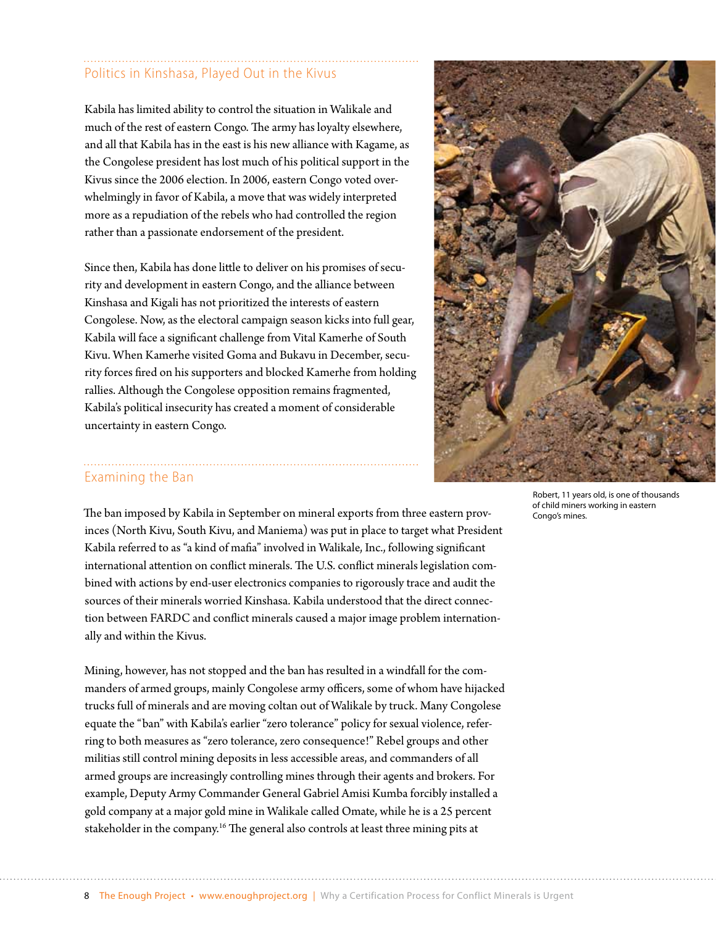# Politics in Kinshasa, Played Out in the Kivus

Kabila has limited ability to control the situation in Walikale and much of the rest of eastern Congo. The army has loyalty elsewhere, and all that Kabila has in the east is his new alliance with Kagame, as the Congolese president has lost much of his political support in the Kivus since the 2006 election. In 2006, eastern Congo voted overwhelmingly in favor of Kabila, a move that was widely interpreted more as a repudiation of the rebels who had controlled the region rather than a passionate endorsement of the president.

Since then, Kabila has done little to deliver on his promises of security and development in eastern Congo, and the alliance between Kinshasa and Kigali has not prioritized the interests of eastern Congolese. Now, as the electoral campaign season kicks into full gear, Kabila will face a significant challenge from Vital Kamerhe of South Kivu. When Kamerhe visited Goma and Bukavu in December, security forces fired on his supporters and blocked Kamerhe from holding rallies. Although the Congolese opposition remains fragmented, Kabila's political insecurity has created a moment of considerable uncertainty in eastern Congo.



### Examining the Ban

The ban imposed by Kabila in September on mineral exports from three eastern provinces (North Kivu, South Kivu, and Maniema) was put in place to target what President Kabila referred to as "a kind of mafia" involved in Walikale, Inc., following significant international attention on conflict minerals. The U.S. conflict minerals legislation combined with actions by end-user electronics companies to rigorously trace and audit the sources of their minerals worried Kinshasa. Kabila understood that the direct connection between FARDC and conflict minerals caused a major image problem internationally and within the Kivus.

Mining, however, has not stopped and the ban has resulted in a windfall for the commanders of armed groups, mainly Congolese army officers, some of whom have hijacked trucks full of minerals and are moving coltan out of Walikale by truck. Many Congolese equate the "ban" with Kabila's earlier "zero tolerance" policy for sexual violence, referring to both measures as "zero tolerance, zero consequence!" Rebel groups and other militias still control mining deposits in less accessible areas, and commanders of all armed groups are increasingly controlling mines through their agents and brokers. For example, Deputy Army Commander General Gabriel Amisi Kumba forcibly installed a gold company at a major gold mine in Walikale called Omate, while he is a 25 percent stakeholder in the company.<sup>16</sup> The general also controls at least three mining pits at

Robert, 11 years old, is one of thousands of child miners working in eastern Congo's mines.